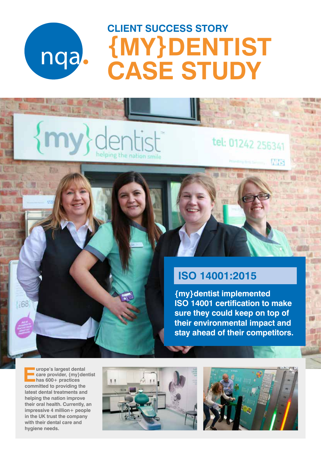

# **CLIENT SUCCESS STORY {MY}DENTIST CASE STUDY**

### tel: 01242 256341

**INHS** 

 $1 - 1$ 

### **ISO 14001:2015**

**{my}dentist implemented ISO 14001 certification to make sure they could keep on top of their environmental impact and stay ahead of their competitors.**

**Europe's largest dental<br>
care provider, {my}der<br>
has 600+ practices<br>
segmitted to maxifies the care provider, {my}dentist has 600+ practices committed to providing the latest dental treatments and helping the nation improve their oral health. Currently, an impressive 4 million+ people in the UK trust the company with their dental care and hygiene needs.**

1768



helping the nation smile